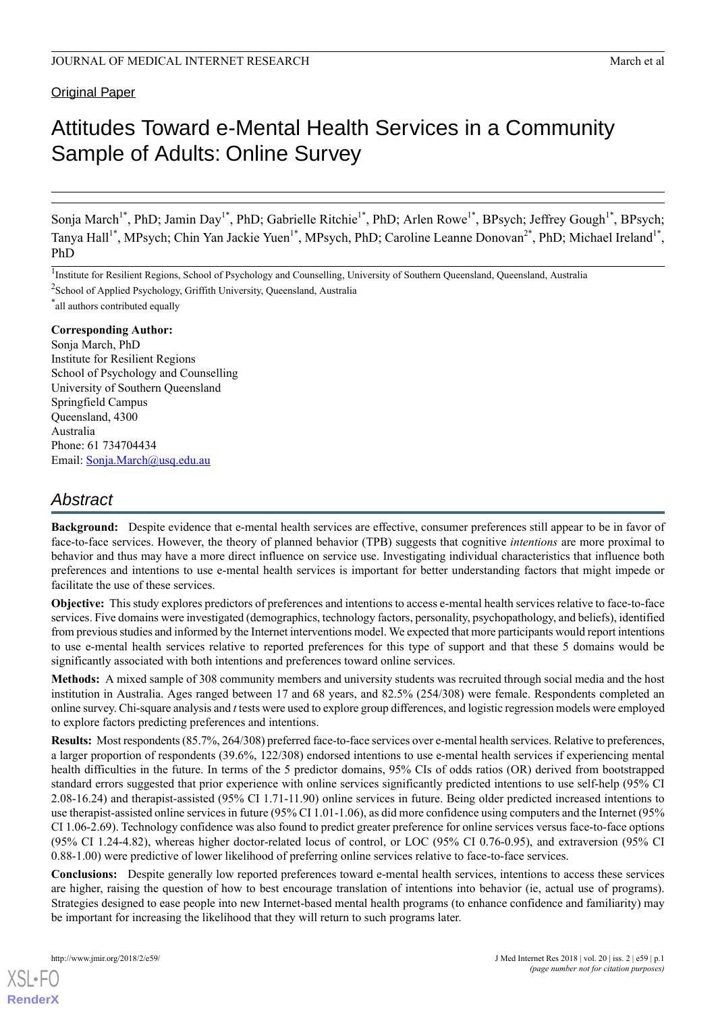### **Original Paper**

# Attitudes Toward e-Mental Health Services in a Community Sample of Adults: Online Survey

Sonja March<sup>1\*</sup>, PhD; Jamin Day<sup>1\*</sup>, PhD; Gabrielle Ritchie<sup>1\*</sup>, PhD; Arlen Rowe<sup>1\*</sup>, BPsych; Jeffrey Gough<sup>1\*</sup>, BPsych; Tanya Hall<sup>1\*</sup>, MPsych; Chin Yan Jackie Yuen<sup>1\*</sup>, MPsych, PhD; Caroline Leanne Donovan<sup>2\*</sup>, PhD; Michael Ireland<sup>1\*</sup>, PhD

\* all authors contributed equally

#### **Corresponding Author:**

Sonja March, PhD Institute for Resilient Regions School of Psychology and Counselling University of Southern Queensland Springfield Campus Queensland, 4300 Australia Phone: 61 734704434 Email: [Sonja.March@usq.edu.au](mailto:Sonja.March@usq.edu.au)

# *Abstract*

**Background:** Despite evidence that e-mental health services are effective, consumer preferences still appear to be in favor of face-to-face services. However, the theory of planned behavior (TPB) suggests that cognitive *intentions* are more proximal to behavior and thus may have a more direct influence on service use. Investigating individual characteristics that influence both preferences and intentions to use e-mental health services is important for better understanding factors that might impede or facilitate the use of these services.

**Objective:** This study explores predictors of preferences and intentions to access e-mental health services relative to face-to-face services. Five domains were investigated (demographics, technology factors, personality, psychopathology, and beliefs), identified from previous studies and informed by the Internet interventions model. We expected that more participants would report intentions to use e-mental health services relative to reported preferences for this type of support and that these 5 domains would be significantly associated with both intentions and preferences toward online services.

**Methods:** A mixed sample of 308 community members and university students was recruited through social media and the host institution in Australia. Ages ranged between 17 and 68 years, and 82.5% (254/308) were female. Respondents completed an online survey. Chi-square analysis and *t* tests were used to explore group differences, and logistic regression models were employed to explore factors predicting preferences and intentions.

**Results:** Most respondents (85.7%, 264/308) preferred face-to-face services over e-mental health services. Relative to preferences, a larger proportion of respondents (39.6%, 122/308) endorsed intentions to use e-mental health services if experiencing mental health difficulties in the future. In terms of the 5 predictor domains, 95% CIs of odds ratios (OR) derived from bootstrapped standard errors suggested that prior experience with online services significantly predicted intentions to use self-help (95% CI 2.08-16.24) and therapist-assisted (95% CI 1.71-11.90) online services in future. Being older predicted increased intentions to use therapist-assisted online services in future (95% CI 1.01-1.06), as did more confidence using computers and the Internet (95% CI 1.06-2.69). Technology confidence was also found to predict greater preference for online services versus face-to-face options (95% CI 1.24-4.82), whereas higher doctor-related locus of control, or LOC (95% CI 0.76-0.95), and extraversion (95% CI 0.88-1.00) were predictive of lower likelihood of preferring online services relative to face-to-face services.

**Conclusions:** Despite generally low reported preferences toward e-mental health services, intentions to access these services are higher, raising the question of how to best encourage translation of intentions into behavior (ie, actual use of programs). Strategies designed to ease people into new Internet-based mental health programs (to enhance confidence and familiarity) may be important for increasing the likelihood that they will return to such programs later.

<sup>&</sup>lt;sup>1</sup>Institute for Resilient Regions, School of Psychology and Counselling, University of Southern Queensland, Queensland, Australia <sup>2</sup>School of Applied Psychology, Griffith University, Queensland, Australia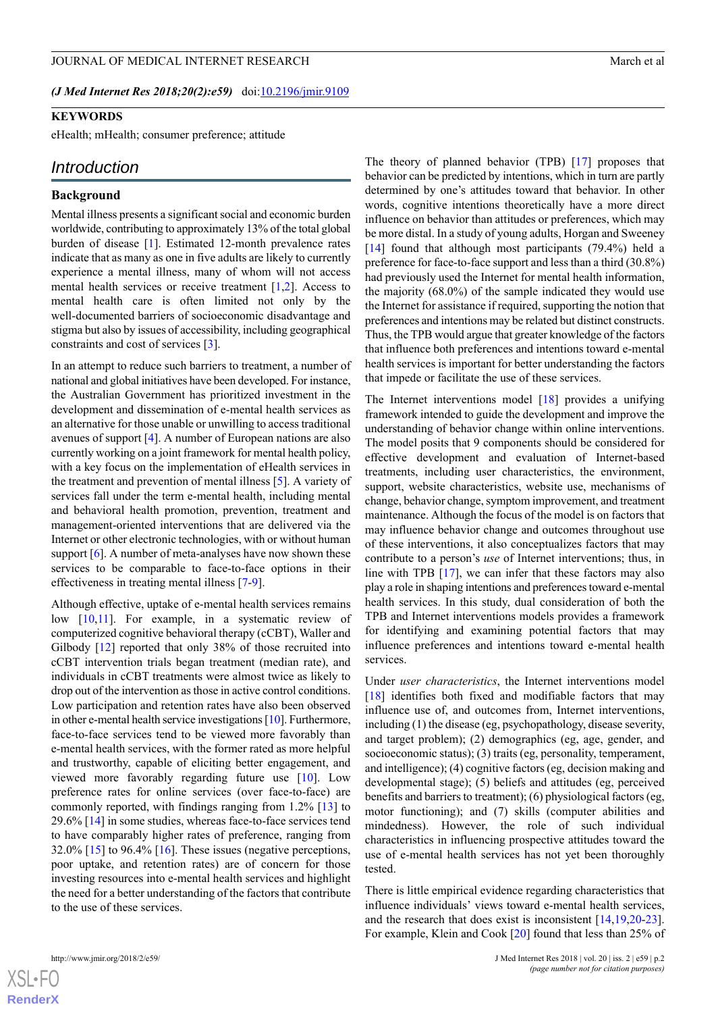#### **KEYWORDS**

eHealth; mHealth; consumer preference; attitude

#### *Introduction*

#### **Background**

Mental illness presents a significant social and economic burden worldwide, contributing to approximately 13% of the total global burden of disease [\[1](#page-10-0)]. Estimated 12-month prevalence rates indicate that as many as one in five adults are likely to currently experience a mental illness, many of whom will not access mental health services or receive treatment [\[1](#page-10-0)[,2\]](#page-10-1). Access to mental health care is often limited not only by the well-documented barriers of socioeconomic disadvantage and stigma but also by issues of accessibility, including geographical constraints and cost of services [[3\]](#page-10-2).

In an attempt to reduce such barriers to treatment, a number of national and global initiatives have been developed. For instance, the Australian Government has prioritized investment in the development and dissemination of e-mental health services as an alternative for those unable or unwilling to access traditional avenues of support [\[4](#page-10-3)]. A number of European nations are also currently working on a joint framework for mental health policy, with a key focus on the implementation of eHealth services in the treatment and prevention of mental illness [\[5](#page-10-4)]. A variety of services fall under the term e-mental health, including mental and behavioral health promotion, prevention, treatment and management-oriented interventions that are delivered via the Internet or other electronic technologies, with or without human support  $[6]$  $[6]$ . A number of meta-analyses have now shown these services to be comparable to face-to-face options in their effectiveness in treating mental illness [\[7](#page-10-6)-[9\]](#page-10-7).

Although effective, uptake of e-mental health services remains low [[10,](#page-10-8)[11\]](#page-10-9). For example, in a systematic review of computerized cognitive behavioral therapy (cCBT), Waller and Gilbody [\[12](#page-10-10)] reported that only 38% of those recruited into cCBT intervention trials began treatment (median rate), and individuals in cCBT treatments were almost twice as likely to drop out of the intervention as those in active control conditions. Low participation and retention rates have also been observed in other e-mental health service investigations [\[10](#page-10-8)]. Furthermore, face-to-face services tend to be viewed more favorably than e-mental health services, with the former rated as more helpful and trustworthy, capable of eliciting better engagement, and viewed more favorably regarding future use [[10\]](#page-10-8). Low preference rates for online services (over face-to-face) are commonly reported, with findings ranging from 1.2% [\[13](#page-10-11)] to 29.6% [[14\]](#page-10-12) in some studies, whereas face-to-face services tend to have comparably higher rates of preference, ranging from  $32.0\%$  [\[15](#page-10-13)] to 96.4% [\[16](#page-10-14)]. These issues (negative perceptions, poor uptake, and retention rates) are of concern for those investing resources into e-mental health services and highlight the need for a better understanding of the factors that contribute to the use of these services.

The theory of planned behavior (TPB) [[17\]](#page-10-15) proposes that behavior can be predicted by intentions, which in turn are partly determined by one's attitudes toward that behavior. In other words, cognitive intentions theoretically have a more direct influence on behavior than attitudes or preferences, which may be more distal. In a study of young adults, Horgan and Sweeney [[14\]](#page-10-12) found that although most participants (79.4%) held a preference for face-to-face support and less than a third (30.8%) had previously used the Internet for mental health information, the majority (68.0%) of the sample indicated they would use the Internet for assistance if required, supporting the notion that preferences and intentions may be related but distinct constructs. Thus, the TPB would argue that greater knowledge of the factors that influence both preferences and intentions toward e-mental health services is important for better understanding the factors that impede or facilitate the use of these services.

The Internet interventions model [\[18](#page-10-16)] provides a unifying framework intended to guide the development and improve the understanding of behavior change within online interventions. The model posits that 9 components should be considered for effective development and evaluation of Internet-based treatments, including user characteristics, the environment, support, website characteristics, website use, mechanisms of change, behavior change, symptom improvement, and treatment maintenance. Although the focus of the model is on factors that may influence behavior change and outcomes throughout use of these interventions, it also conceptualizes factors that may contribute to a person's *use* of Internet interventions; thus, in line with TPB [\[17](#page-10-15)], we can infer that these factors may also play a role in shaping intentions and preferences toward e-mental health services. In this study, dual consideration of both the TPB and Internet interventions models provides a framework for identifying and examining potential factors that may influence preferences and intentions toward e-mental health services.

Under *user characteristics*, the Internet interventions model [[18\]](#page-10-16) identifies both fixed and modifiable factors that may influence use of, and outcomes from, Internet interventions, including (1) the disease (eg, psychopathology, disease severity, and target problem); (2) demographics (eg, age, gender, and socioeconomic status); (3) traits (eg, personality, temperament, and intelligence); (4) cognitive factors (eg, decision making and developmental stage); (5) beliefs and attitudes (eg, perceived benefits and barriers to treatment); (6) physiological factors (eg, motor functioning); and (7) skills (computer abilities and mindedness). However, the role of such individual characteristics in influencing prospective attitudes toward the use of e-mental health services has not yet been thoroughly tested.

There is little empirical evidence regarding characteristics that influence individuals' views toward e-mental health services, and the research that does exist is inconsistent [[14,](#page-10-12)[19](#page-11-0),[20-](#page-11-1)[23\]](#page-11-2). For example, Klein and Cook [[20\]](#page-11-1) found that less than 25% of

 $XS$ -FO **[RenderX](http://www.renderx.com/)**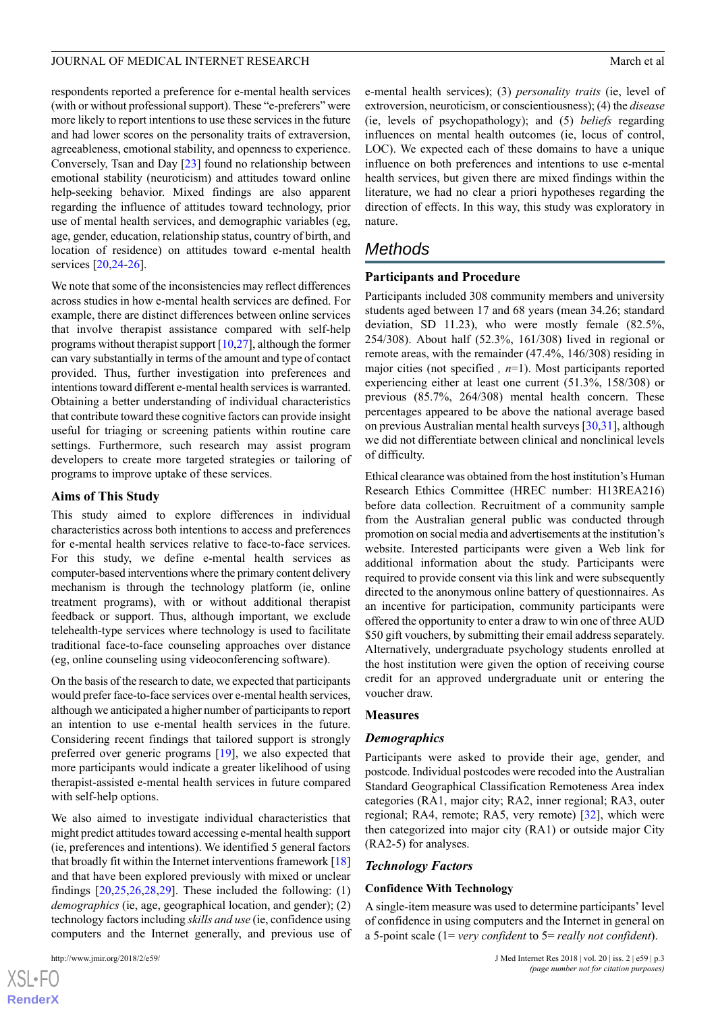respondents reported a preference for e-mental health services (with or without professional support). These "e-preferers" were more likely to report intentions to use these services in the future and had lower scores on the personality traits of extraversion, agreeableness, emotional stability, and openness to experience. Conversely, Tsan and Day [[23\]](#page-11-2) found no relationship between emotional stability (neuroticism) and attitudes toward online help-seeking behavior. Mixed findings are also apparent regarding the influence of attitudes toward technology, prior use of mental health services, and demographic variables (eg, age, gender, education, relationship status, country of birth, and location of residence) on attitudes toward e-mental health services [\[20](#page-11-1)[,24](#page-11-3)[-26](#page-11-4)].

We note that some of the inconsistencies may reflect differences across studies in how e-mental health services are defined. For example, there are distinct differences between online services that involve therapist assistance compared with self-help programs without therapist support [\[10](#page-10-8),[27\]](#page-11-5), although the former can vary substantially in terms of the amount and type of contact provided. Thus, further investigation into preferences and intentions toward different e-mental health services is warranted. Obtaining a better understanding of individual characteristics that contribute toward these cognitive factors can provide insight useful for triaging or screening patients within routine care settings. Furthermore, such research may assist program developers to create more targeted strategies or tailoring of programs to improve uptake of these services.

#### **Aims of This Study**

This study aimed to explore differences in individual characteristics across both intentions to access and preferences for e-mental health services relative to face-to-face services. For this study, we define e-mental health services as computer-based interventions where the primary content delivery mechanism is through the technology platform (ie, online treatment programs), with or without additional therapist feedback or support. Thus, although important, we exclude telehealth-type services where technology is used to facilitate traditional face-to-face counseling approaches over distance (eg, online counseling using videoconferencing software).

On the basis of the research to date, we expected that participants would prefer face-to-face services over e-mental health services, although we anticipated a higher number of participants to report an intention to use e-mental health services in the future. Considering recent findings that tailored support is strongly preferred over generic programs [\[19](#page-11-0)], we also expected that more participants would indicate a greater likelihood of using therapist-assisted e-mental health services in future compared with self-help options.

We also aimed to investigate individual characteristics that might predict attitudes toward accessing e-mental health support (ie, preferences and intentions). We identified 5 general factors that broadly fit within the Internet interventions framework [\[18](#page-10-16)] and that have been explored previously with mixed or unclear findings  $[20,25,26,28,29]$  $[20,25,26,28,29]$  $[20,25,26,28,29]$  $[20,25,26,28,29]$  $[20,25,26,28,29]$  $[20,25,26,28,29]$  $[20,25,26,28,29]$ . These included the following:  $(1)$ *demographics* (ie, age, geographical location, and gender); (2) technology factors including *skills and use* (ie, confidence using computers and the Internet generally, and previous use of

[XSL](http://www.w3.org/Style/XSL)•FO **[RenderX](http://www.renderx.com/)** e-mental health services); (3) *personality traits* (ie, level of extroversion, neuroticism, or conscientiousness); (4) the *disease* (ie, levels of psychopathology); and (5) *beliefs* regarding influences on mental health outcomes (ie, locus of control, LOC). We expected each of these domains to have a unique influence on both preferences and intentions to use e-mental health services, but given there are mixed findings within the literature, we had no clear a priori hypotheses regarding the direction of effects. In this way, this study was exploratory in nature.

# *Methods*

### **Participants and Procedure**

Participants included 308 community members and university students aged between 17 and 68 years (mean 34.26; standard deviation, SD 11.23), who were mostly female (82.5%, 254/308). About half (52.3%, 161/308) lived in regional or remote areas, with the remainder (47.4%, 146/308) residing in major cities (not specified *, n*=1). Most participants reported experiencing either at least one current (51.3%, 158/308) or previous (85.7%, 264/308) mental health concern. These percentages appeared to be above the national average based on previous Australian mental health surveys [\[30](#page-11-9),[31\]](#page-11-10), although we did not differentiate between clinical and nonclinical levels of difficulty.

Ethical clearance was obtained from the host institution's Human Research Ethics Committee (HREC number: H13REA216) before data collection. Recruitment of a community sample from the Australian general public was conducted through promotion on social media and advertisements at the institution's website. Interested participants were given a Web link for additional information about the study. Participants were required to provide consent via this link and were subsequently directed to the anonymous online battery of questionnaires. As an incentive for participation, community participants were offered the opportunity to enter a draw to win one of three AUD \$50 gift vouchers, by submitting their email address separately. Alternatively, undergraduate psychology students enrolled at the host institution were given the option of receiving course credit for an approved undergraduate unit or entering the voucher draw.

#### **Measures**

#### *Demographics*

Participants were asked to provide their age, gender, and postcode. Individual postcodes were recoded into the Australian Standard Geographical Classification Remoteness Area index categories (RA1, major city; RA2, inner regional; RA3, outer regional; RA4, remote; RA5, very remote) [[32\]](#page-11-11), which were then categorized into major city (RA1) or outside major City (RA2-5) for analyses.

#### *Technology Factors*

#### **Confidence With Technology**

A single-item measure was used to determine participants' level of confidence in using computers and the Internet in general on a 5-point scale (1= *very confident* to 5= *really not confident*).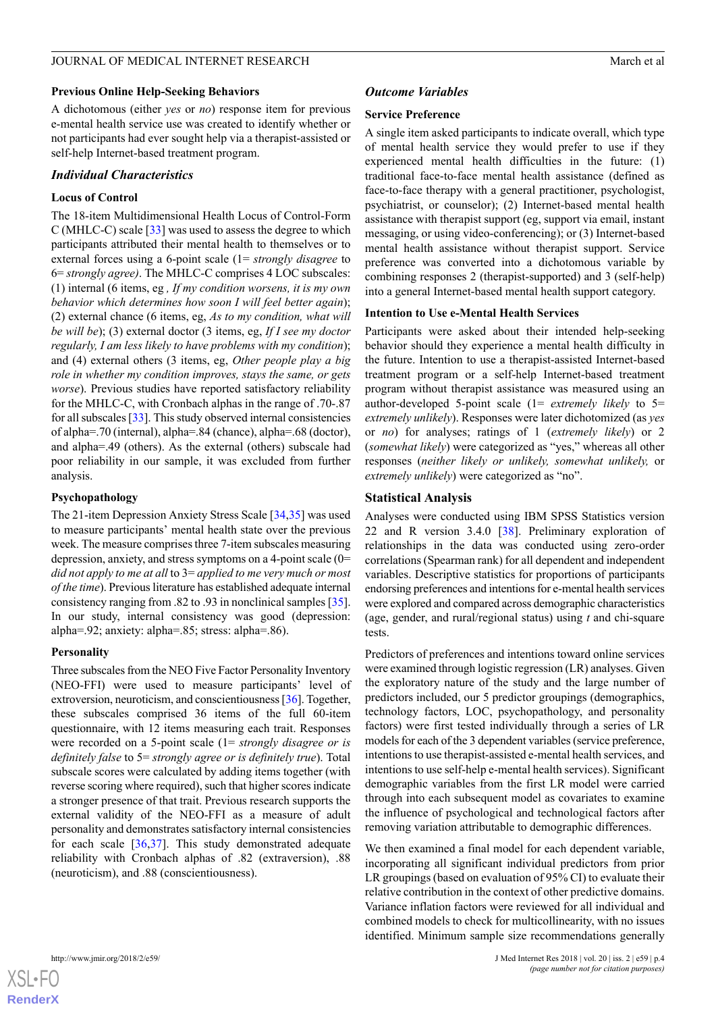#### **Previous Online Help-Seeking Behaviors**

A dichotomous (either *yes* or *no*) response item for previous e-mental health service use was created to identify whether or not participants had ever sought help via a therapist-assisted or self-help Internet-based treatment program.

#### *Individual Characteristics*

#### **Locus of Control**

The 18-item Multidimensional Health Locus of Control-Form C (MHLC-C) scale [\[33](#page-11-12)] was used to assess the degree to which participants attributed their mental health to themselves or to external forces using a 6-point scale (1= *strongly disagree* to 6= *strongly agree)*. The MHLC-C comprises 4 LOC subscales: (1) internal (6 items, eg *, If my condition worsens, it is my own behavior which determines how soon I will feel better again*); (2) external chance (6 items, eg, *As to my condition, what will be will be*); (3) external doctor (3 items, eg, *If I see my doctor regularly, I am less likely to have problems with my condition*); and (4) external others (3 items, eg, *Other people play a big role in whether my condition improves, stays the same, or gets worse*). Previous studies have reported satisfactory reliability for the MHLC-C, with Cronbach alphas in the range of .70-.87 for all subscales [\[33\]](#page-11-12). This study observed internal consistencies of alpha=.70 (internal), alpha=.84 (chance), alpha=.68 (doctor), and alpha=.49 (others). As the external (others) subscale had poor reliability in our sample, it was excluded from further analysis.

#### **Psychopathology**

The 21-item Depression Anxiety Stress Scale [[34,](#page-11-13)[35](#page-11-14)] was used to measure participants' mental health state over the previous week. The measure comprises three 7-item subscales measuring depression, anxiety, and stress symptoms on a 4-point scale (0= *did not apply to me at all* to 3= *applied to me very much or most of the time*). Previous literature has established adequate internal consistency ranging from .82 to .93 in nonclinical samples [[35\]](#page-11-14). In our study, internal consistency was good (depression: alpha=.92; anxiety: alpha=.85; stress: alpha=.86).

#### **Personality**

Three subscales from the NEO Five Factor Personality Inventory (NEO-FFI) were used to measure participants' level of extroversion, neuroticism, and conscientiousness [[36](#page-11-15)]. Together, these subscales comprised 36 items of the full 60-item questionnaire, with 12 items measuring each trait. Responses were recorded on a 5-point scale (1= *strongly disagree or is definitely false* to 5= *strongly agree or is definitely true*). Total subscale scores were calculated by adding items together (with reverse scoring where required), such that higher scores indicate a stronger presence of that trait. Previous research supports the external validity of the NEO-FFI as a measure of adult personality and demonstrates satisfactory internal consistencies for each scale [\[36](#page-11-15),[37\]](#page-11-16). This study demonstrated adequate reliability with Cronbach alphas of .82 (extraversion), .88 (neuroticism), and .88 (conscientiousness).

### *Outcome Variables*

#### **Service Preference**

A single item asked participants to indicate overall, which type of mental health service they would prefer to use if they experienced mental health difficulties in the future: (1) traditional face-to-face mental health assistance (defined as face-to-face therapy with a general practitioner, psychologist, psychiatrist, or counselor); (2) Internet-based mental health assistance with therapist support (eg, support via email, instant messaging, or using video-conferencing); or (3) Internet-based mental health assistance without therapist support. Service preference was converted into a dichotomous variable by combining responses 2 (therapist-supported) and 3 (self-help) into a general Internet-based mental health support category.

#### **Intention to Use e-Mental Health Services**

Participants were asked about their intended help-seeking behavior should they experience a mental health difficulty in the future. Intention to use a therapist-assisted Internet-based treatment program or a self-help Internet-based treatment program without therapist assistance was measured using an author-developed 5-point scale (1= *extremely likely* to 5= *extremely unlikely*). Responses were later dichotomized (as *yes* or *no*) for analyses; ratings of 1 (*extremely likely*) or 2 (*somewhat likely*) were categorized as "yes," whereas all other responses (*neither likely or unlikely, somewhat unlikely,* or *extremely unlikely*) were categorized as "no".

#### **Statistical Analysis**

Analyses were conducted using IBM SPSS Statistics version 22 and R version 3.4.0 [[38\]](#page-11-17). Preliminary exploration of relationships in the data was conducted using zero-order correlations (Spearman rank) for all dependent and independent variables. Descriptive statistics for proportions of participants endorsing preferences and intentions for e-mental health services were explored and compared across demographic characteristics (age, gender, and rural/regional status) using *t* and chi-square tests.

Predictors of preferences and intentions toward online services were examined through logistic regression (LR) analyses. Given the exploratory nature of the study and the large number of predictors included, our 5 predictor groupings (demographics, technology factors, LOC, psychopathology, and personality factors) were first tested individually through a series of LR models for each of the 3 dependent variables (service preference, intentions to use therapist-assisted e-mental health services, and intentions to use self-help e-mental health services). Significant demographic variables from the first LR model were carried through into each subsequent model as covariates to examine the influence of psychological and technological factors after removing variation attributable to demographic differences.

We then examined a final model for each dependent variable, incorporating all significant individual predictors from prior LR groupings (based on evaluation of 95% CI) to evaluate their relative contribution in the context of other predictive domains. Variance inflation factors were reviewed for all individual and combined models to check for multicollinearity, with no issues identified. Minimum sample size recommendations generally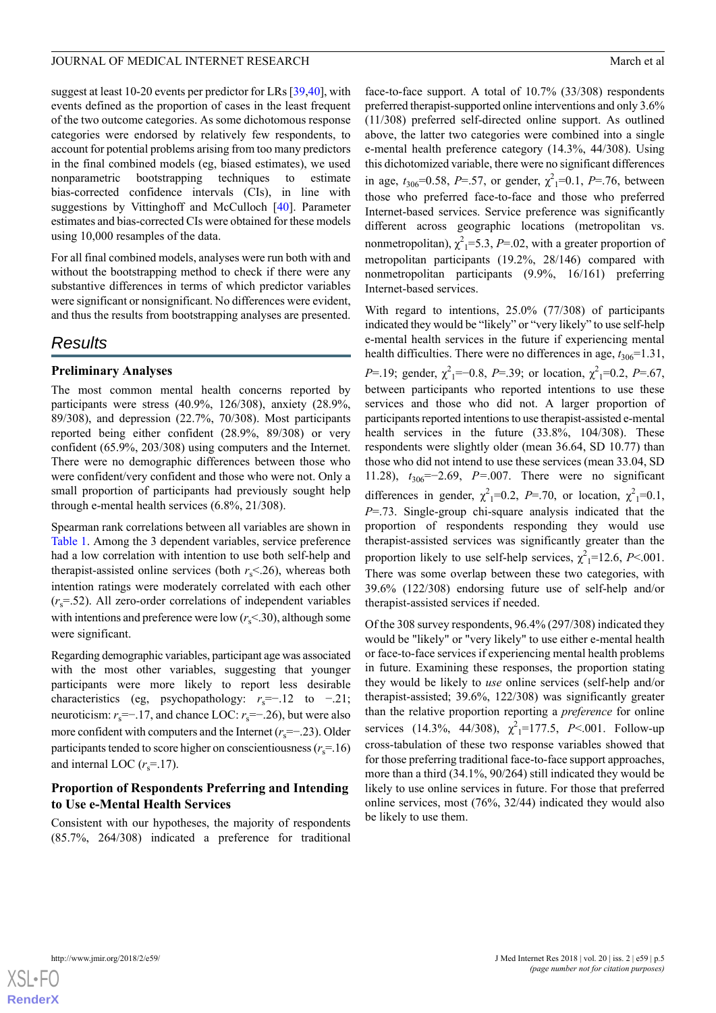suggest at least 10-20 events per predictor for LRs [[39](#page-11-18)[,40](#page-11-19)], with events defined as the proportion of cases in the least frequent of the two outcome categories. As some dichotomous response categories were endorsed by relatively few respondents, to account for potential problems arising from too many predictors in the final combined models (eg, biased estimates), we used nonparametric bootstrapping techniques to estimate bias-corrected confidence intervals (CIs), in line with suggestions by Vittinghoff and McCulloch [\[40](#page-11-19)]. Parameter estimates and bias-corrected CIs were obtained for these models using 10,000 resamples of the data.

For all final combined models, analyses were run both with and without the bootstrapping method to check if there were any substantive differences in terms of which predictor variables were significant or nonsignificant. No differences were evident, and thus the results from bootstrapping analyses are presented.

# *Results*

#### **Preliminary Analyses**

The most common mental health concerns reported by participants were stress (40.9%, 126/308), anxiety (28.9%, 89/308), and depression (22.7%, 70/308). Most participants reported being either confident (28.9%, 89/308) or very confident (65.9%, 203/308) using computers and the Internet. There were no demographic differences between those who were confident/very confident and those who were not. Only a small proportion of participants had previously sought help through e-mental health services (6.8%, 21/308).

Spearman rank correlations between all variables are shown in [Table 1](#page-5-0). Among the 3 dependent variables, service preference had a low correlation with intention to use both self-help and therapist-assisted online services (both  $r_s$ <.26), whereas both intention ratings were moderately correlated with each other  $(r_s=52)$ . All zero-order correlations of independent variables with intentions and preference were low  $(r<sub>s</sub>< 30)$ , although some were significant.

Regarding demographic variables, participant age was associated with the most other variables, suggesting that younger participants were more likely to report less desirable characteristics (eg, psychopathology:  $r_s=-.12$  to  $-.21$ ; neuroticism:  $r_s = -17$ , and chance LOC:  $r_s = -26$ ), but were also more confident with computers and the Internet (*r<sub>s</sub>*=−.23). Older participants tended to score higher on conscientiousness ( $r_s$ =.16) and internal LOC  $(r_s=17)$ .

#### **Proportion of Respondents Preferring and Intending to Use e-Mental Health Services**

Consistent with our hypotheses, the majority of respondents (85.7%, 264/308) indicated a preference for traditional face-to-face support. A total of 10.7% (33/308) respondents preferred therapist-supported online interventions and only 3.6% (11/308) preferred self-directed online support. As outlined above, the latter two categories were combined into a single e-mental health preference category (14.3%, 44/308). Using this dichotomized variable, there were no significant differences in age,  $t_{306}$ =0.58, *P*=.57, or gender,  $\chi^2$ <sub>1</sub>=0.1, *P*=.76, between those who preferred face-to-face and those who preferred Internet-based services. Service preference was significantly different across geographic locations (metropolitan vs. nonmetropolitan),  $\chi^2$ <sub>1</sub>=5.3, *P*=.02, with a greater proportion of metropolitan participants (19.2%, 28/146) compared with nonmetropolitan participants (9.9%, 16/161) preferring Internet-based services.

With regard to intentions, 25.0% (77/308) of participants indicated they would be "likely" or "very likely" to use self-help e-mental health services in the future if experiencing mental health difficulties. There were no differences in age,  $t_{306}$ =1.31, *P*=.19; gender,  $\chi^2$ <sub>1</sub>=-0.8, *P*=.39; or location,  $\chi^2$ <sub>1</sub>=0.2, *P*=.67, between participants who reported intentions to use these services and those who did not. A larger proportion of participants reported intentions to use therapist-assisted e-mental health services in the future (33.8%, 104/308). These respondents were slightly older (mean 36.64, SD 10.77) than those who did not intend to use these services (mean 33.04, SD 11.28), *t*306=−2.69, *P=*.007. There were no significant differences in gender,  $\chi^2_1=0.2$ , *P*=.70, or location,  $\chi^2_1=0.1$ , *P*=.73. Single-group chi-square analysis indicated that the proportion of respondents responding they would use therapist-assisted services was significantly greater than the proportion likely to use self-help services,  $\chi^2$ <sub>1</sub>=12.6, *P*<.001. There was some overlap between these two categories, with 39.6% (122/308) endorsing future use of self-help and/or therapist-assisted services if needed.

Of the 308 survey respondents, 96.4% (297/308) indicated they would be "likely" or "very likely" to use either e-mental health or face-to-face services if experiencing mental health problems in future. Examining these responses, the proportion stating they would be likely to *use* online services (self-help and/or therapist-assisted; 39.6%, 122/308) was significantly greater than the relative proportion reporting a *preference* for online services (14.3%, 44/308),  $\chi^2$ <sub>1</sub>=177.5, *P*<.001. Follow-up cross-tabulation of these two response variables showed that for those preferring traditional face-to-face support approaches, more than a third (34.1%, 90/264) still indicated they would be likely to use online services in future. For those that preferred online services, most (76%, 32/44) indicated they would also be likely to use them.

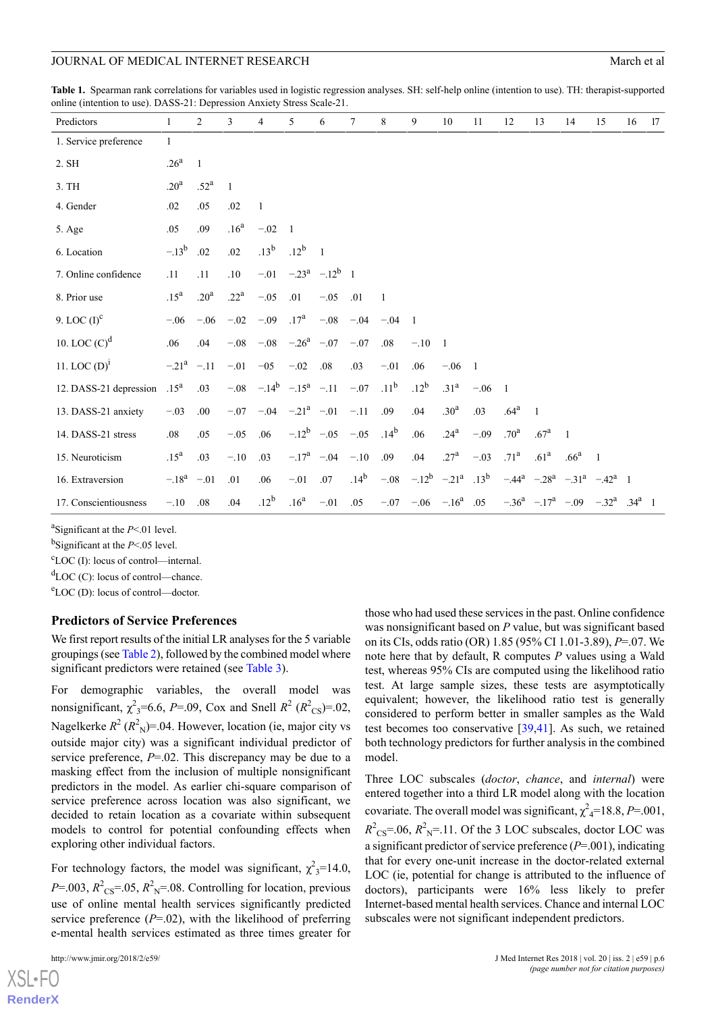<span id="page-5-0"></span>**Table 1.** Spearman rank correlations for variables used in logistic regression analyses. SH: self-help online (intention to use). TH: therapist-supported online (intention to use). DASS-21: Depression Anxiety Stress Scale-21.

| Predictors             | 1                | $\overline{c}$   | 3                | 4            | 5                               | 6                      | 7                | 8                | 9                        | 10                | 11             | 12               | 13                         | 14               | 15                                          | 16 | 17 |
|------------------------|------------------|------------------|------------------|--------------|---------------------------------|------------------------|------------------|------------------|--------------------------|-------------------|----------------|------------------|----------------------------|------------------|---------------------------------------------|----|----|
| 1. Service preference  | $\mathbf{1}$     |                  |                  |              |                                 |                        |                  |                  |                          |                   |                |                  |                            |                  |                                             |    |    |
| 2. SH                  | .26 <sup>a</sup> | $\overline{1}$   |                  |              |                                 |                        |                  |                  |                          |                   |                |                  |                            |                  |                                             |    |    |
| 3. TH                  | .20 <sup>a</sup> | .52 <sup>a</sup> | 1                |              |                                 |                        |                  |                  |                          |                   |                |                  |                            |                  |                                             |    |    |
| 4. Gender              | .02              | .05              | .02              | $\mathbf{1}$ |                                 |                        |                  |                  |                          |                   |                |                  |                            |                  |                                             |    |    |
| 5. Age                 | .05              | .09              | .16 <sup>a</sup> | $-.02$       | $\overline{\phantom{0}}$        |                        |                  |                  |                          |                   |                |                  |                            |                  |                                             |    |    |
| 6. Location            | $-13^{b}$        | .02              | .02              | $.13^b$      | $.12^{\rm b}$                   | $\overline{1}$         |                  |                  |                          |                   |                |                  |                            |                  |                                             |    |    |
| 7. Online confidence   | .11              | .11              | $.10\,$          | $-.01$       |                                 | $-.23^a$ $-.12^b$ 1    |                  |                  |                          |                   |                |                  |                            |                  |                                             |    |    |
| 8. Prior use           | .15 <sup>a</sup> | .20 <sup>a</sup> | .22 <sup>a</sup> | $-.05$       | .01                             | $-.05$                 | .01              | 1                |                          |                   |                |                  |                            |                  |                                             |    |    |
| 9. LOC $(I)^c$         | $-.06$           | $-.06$           | $-.02$           | $-.09$       | $.17^{a}$                       | $-.08$                 | $-.04$           | $-.04$           | $\overline{1}$           |                   |                |                  |                            |                  |                                             |    |    |
| 10. LOC $(C)^d$        | .06              | .04              | $-.08$           | $-.08$       | $-.26^a$ $-.07$                 |                        | $-.07$           | .08              | $-.10$                   | $\overline{1}$    |                |                  |                            |                  |                                             |    |    |
| 11. LOC $(D)^1$        | $-.21^a$ $-.11$  |                  | $-.01$           | $-05$        | $-.02$                          | .08                    | .03              | $-.01$           | .06                      | $-.06$            | $\overline{1}$ |                  |                            |                  |                                             |    |    |
| 12. DASS-21 depression | .15 <sup>a</sup> | .03              |                  |              | $-.08$ $-.14^b$ $-.15^a$ $-.11$ |                        | $-.07$           | .11 <sup>b</sup> | $.12^{b}$                | .31 <sup>a</sup>  | $-.06$         | $\overline{1}$   |                            |                  |                                             |    |    |
| 13. DASS-21 anxiety    | $-.03$           | .00              | $-.07$           |              | $-.04 - .21^a - .01$            |                        | $-.11$           | .09              | .04                      | .30 <sup>a</sup>  | .03            | .64 <sup>a</sup> | $\mathbf{1}$               |                  |                                             |    |    |
| 14. DASS-21 stress     | .08              | .05              | $-.05$           | .06          |                                 | $-.12^b$ $-.05$ $-.05$ |                  | .14 <sup>b</sup> | .06                      | .24 <sup>a</sup>  | $-.09$         | .70 <sup>a</sup> | .67 <sup>a</sup>           | $\overline{1}$   |                                             |    |    |
| 15. Neuroticism        | .15 <sup>a</sup> | .03              | $-.10$           | .03          | $-.17^a$ $-.04$                 |                        | $-.10$           | .09              | .04                      | .27 <sup>a</sup>  | $-.03$         | .71 <sup>a</sup> | .61 <sup>a</sup>           | .66 <sup>a</sup> | $\overline{1}$                              |    |    |
| 16. Extraversion       | $-.18^a$ $-.01$  |                  | .01              | .06          | $-.01$                          | .07                    | .14 <sup>b</sup> | $-.08$           |                          | $-.12^b$ $-.21^a$ | $.13^{\rm b}$  |                  | $-.44^a$ $-.28^a$ $-.31^a$ |                  | $-42^a$ 1                                   |    |    |
| 17. Conscientiousness  | $-.10$           | .08              | .04              | $.12^b$      | .16 <sup>a</sup>                | $-.01$                 | .05              |                  | $-.07 - .06 - .16^a$ .05 |                   |                |                  |                            |                  | $-.36^a$ $-.17^a$ $-.09$ $-.32^a$ $.34^a$ 1 |    |    |

a Significant at the *P*<.01 level.

b Significant at the *P*<.05 level.

 $c_{\text{LOC (I)}}$ : locus of control—internal.

 ${}^{d}$ LOC (C): locus of control—chance.

<sup>e</sup>LOC (D): locus of control—doctor.

#### **Predictors of Service Preferences**

We first report results of the initial LR analyses for the 5 variable groupings (see [Table 2](#page-6-0)), followed by the combined model where significant predictors were retained (see [Table 3](#page-7-0)).

For demographic variables, the overall model was nonsignificant,  $\chi^2$ <sub>3</sub>=6.6, *P*=.09, Cox and Snell  $R^2$  ( $R^2$ <sub>CS</sub>)=.02, Nagelkerke  $R^2 (R^2_N) = 0.04$ . However, location (ie, major city vs outside major city) was a significant individual predictor of service preference, *P*=.02. This discrepancy may be due to a masking effect from the inclusion of multiple nonsignificant predictors in the model. As earlier chi-square comparison of service preference across location was also significant, we decided to retain location as a covariate within subsequent models to control for potential confounding effects when exploring other individual factors.

For technology factors, the model was significant,  $\chi^2$ <sub>3</sub>=14.0,  $P = 0.003$ ,  $R^2_{\text{CS}} = 0.05$ ,  $R^2_{\text{N}} = 0.08$ . Controlling for location, previous use of online mental health services significantly predicted service preference  $(P=02)$ , with the likelihood of preferring e-mental health services estimated as three times greater for

those who had used these services in the past. Online confidence was nonsignificant based on *P* value, but was significant based on its CIs, odds ratio (OR) 1.85 (95% CI 1.01-3.89), *P*=.07. We note here that by default, R computes *P* values using a Wald test, whereas 95% CIs are computed using the likelihood ratio test. At large sample sizes, these tests are asymptotically equivalent; however, the likelihood ratio test is generally considered to perform better in smaller samples as the Wald test becomes too conservative [[39](#page-11-18)[,41](#page-11-20)]. As such, we retained both technology predictors for further analysis in the combined model.

Three LOC subscales (*doctor*, *chance*, and *internal*) were entered together into a third LR model along with the location covariate. The overall model was significant,  $\chi^2$ <sub>4</sub>=18.8, *P*=.001,  $R^2$ <sub>CS</sub>=.06,  $R^2$ <sub>N</sub>=.11. Of the 3 LOC subscales, doctor LOC was a significant predictor of service preference (*P*=.001), indicating that for every one-unit increase in the doctor-related external LOC (ie, potential for change is attributed to the influence of doctors), participants were 16% less likely to prefer Internet-based mental health services. Chance and internal LOC subscales were not significant independent predictors.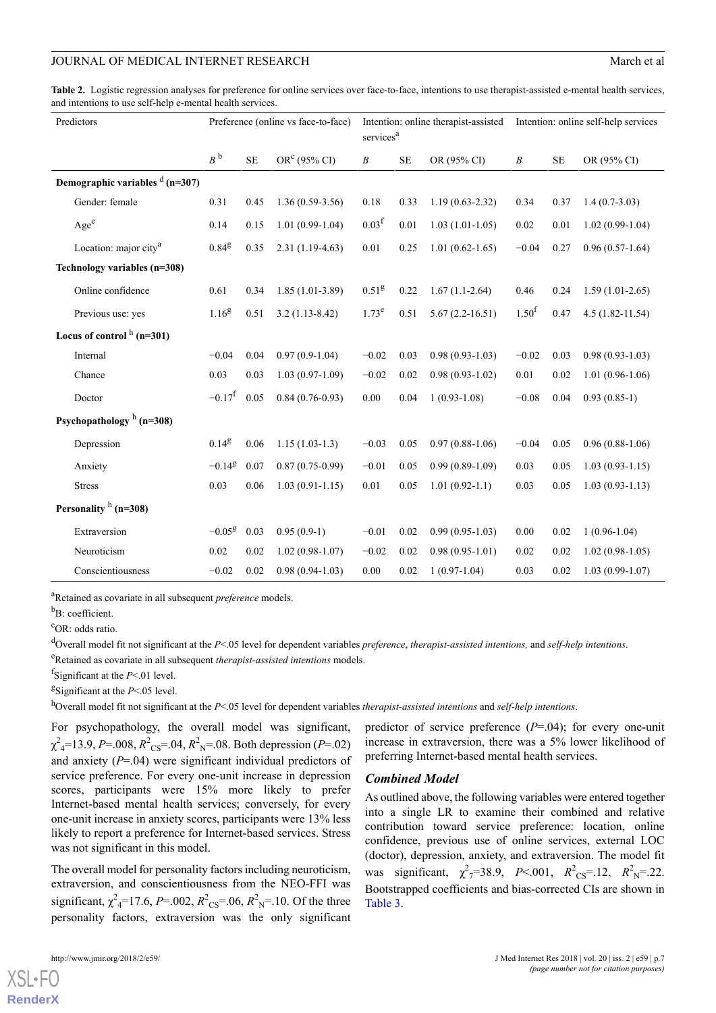<span id="page-6-0"></span>**Table 2.** Logistic regression analyses for preference for online services over face-to-face, intentions to use therapist-assisted e-mental health services, and intentions to use self-help e-mental health services.

| Predictors                         |                      |           | Preference (online vs face-to-face) | services <sup>a</sup> |           | Intention: online therapist-assisted | Intention: online self-help services |           |                     |  |
|------------------------------------|----------------------|-----------|-------------------------------------|-----------------------|-----------|--------------------------------------|--------------------------------------|-----------|---------------------|--|
|                                    | $B^{\,b}$            | <b>SE</b> | OR <sup>c</sup> (95% CI)            | $\boldsymbol{B}$      | <b>SE</b> | OR (95% CI)                          | $\boldsymbol{B}$                     | <b>SE</b> | OR (95% CI)         |  |
| Demographic variables $d$ (n=307)  |                      |           |                                     |                       |           |                                      |                                      |           |                     |  |
| Gender: female                     | 0.31                 | 0.45      | $1.36(0.59-3.56)$                   | 0.18                  | 0.33      | $1.19(0.63 - 2.32)$                  | 0.34                                 | 0.37      | $1.4(0.7-3.03)$     |  |
| Age <sup>e</sup>                   | 0.14                 | 0.15      | $1.01(0.99-1.04)$                   | 0.03 <sup>f</sup>     | 0.01      | $1.03(1.01-1.05)$                    | 0.02                                 | 0.01      | $1.02(0.99-1.04)$   |  |
| Location: major city <sup>a</sup>  | $0.84^{8}$           | 0.35      | $2.31(1.19-4.63)$                   | 0.01                  | 0.25      | $1.01(0.62 - 1.65)$                  | $-0.04$                              | 0.27      | $0.96(0.57-1.64)$   |  |
| Technology variables (n=308)       |                      |           |                                     |                       |           |                                      |                                      |           |                     |  |
| Online confidence                  | 0.61                 | 0.34      | $1.85(1.01-3.89)$                   | $0.51^{8}$            | 0.22      | $1.67(1.1-2.64)$                     | 0.46                                 | 0.24      | $1.59(1.01-2.65)$   |  |
| Previous use: yes                  | $1.16^{8}$           | 0.51      | $3.2(1.13-8.42)$                    | 1.73 <sup>e</sup>     | 0.51      | $5.67(2.2 - 16.51)$                  | 1.50 <sup>f</sup>                    | 0.47      | $4.5(1.82 - 11.54)$ |  |
| Locus of control $h(n=301)$        |                      |           |                                     |                       |           |                                      |                                      |           |                     |  |
| Internal                           | $-0.04$              | 0.04      | $0.97(0.9-1.04)$                    | $-0.02$               | 0.03      | $0.98(0.93-1.03)$                    | $-0.02$                              | 0.03      | $0.98(0.93-1.03)$   |  |
| Chance                             | 0.03                 | 0.03      | $1.03(0.97-1.09)$                   | $-0.02$               | 0.02      | $0.98(0.93 - 1.02)$                  | 0.01                                 | 0.02      | $1.01(0.96-1.06)$   |  |
| Doctor                             | $-0.17$ <sup>f</sup> | 0.05      | $0.84(0.76-0.93)$                   | 0.00                  | 0.04      | $1(0.93-1.08)$                       | $-0.08$                              | 0.04      | $0.93(0.85-1)$      |  |
| Psychopathology $^{\rm h}$ (n=308) |                      |           |                                     |                       |           |                                      |                                      |           |                     |  |
| Depression                         | $0.14^{8}$           | 0.06      | $1.15(1.03-1.3)$                    | $-0.03$               | 0.05      | $0.97(0.88-1.06)$                    | $-0.04$                              | 0.05      | $0.96(0.88-1.06)$   |  |
| Anxiety                            | $-0.14$ <sup>g</sup> | 0.07      | $0.87(0.75-0.99)$                   | $-0.01$               | 0.05      | $0.99(0.89-1.09)$                    | 0.03                                 | 0.05      | $1.03(0.93 - 1.15)$ |  |
| <b>Stress</b>                      | 0.03                 | 0.06      | $1.03(0.91 - 1.15)$                 | 0.01                  | 0.05      | $1.01(0.92-1.1)$                     | 0.03                                 | 0.05      | $1.03(0.93 - 1.13)$ |  |
| Personality <sup>h</sup> (n=308)   |                      |           |                                     |                       |           |                                      |                                      |           |                     |  |
| Extraversion                       | $-0.05g$             | 0.03      | $0.95(0.9-1)$                       | $-0.01$               | 0.02      | $0.99(0.95-1.03)$                    | 0.00                                 | 0.02      | $1(0.96-1.04)$      |  |
| Neuroticism                        | 0.02                 | 0.02      | $1.02(0.98-1.07)$                   | $-0.02$               | 0.02      | $0.98(0.95-1.01)$                    | 0.02                                 | 0.02      | $1.02(0.98-1.05)$   |  |
| Conscientiousness                  | $-0.02$              | 0.02      | $0.98(0.94-1.03)$                   | 0.00                  | 0.02      | $1(0.97-1.04)$                       | 0.03                                 | 0.02      | $1.03(0.99-1.07)$   |  |

<sup>a</sup>Retained as covariate in all subsequent *preference* models.

 $b_{\text{B}}$ : coefficient.

<sup>c</sup>OR: odds ratio.

<sup>d</sup>Overall model fit not significant at the *P*<.05 level for dependent variables *preference*, *therapist-assisted intentions,* and *self-help intentions*.

<sup>e</sup>Retained as covariate in all subsequent *therapist-assisted intentions* models.

f Significant at the *P*<.01 level.

g Significant at the *P*<.05 level.

<sup>h</sup>Overall model fit not significant at the *P*<.05 level for dependent variables *therapist-assisted intentions* and *self-help intentions*.

For psychopathology, the overall model was significant,  $\chi^2$ <sub>4</sub>=13.9, *P*=.008,  $R^2$ <sub>CS</sub>=.04,  $R^2$ <sub>N</sub>=.08. Both depression (*P*=.02) and anxiety  $(P=0.04)$  were significant individual predictors of service preference. For every one-unit increase in depression scores, participants were 15% more likely to prefer Internet-based mental health services; conversely, for every one-unit increase in anxiety scores, participants were 13% less likely to report a preference for Internet-based services. Stress was not significant in this model.

The overall model for personality factors including neuroticism, extraversion, and conscientiousness from the NEO-FFI was significant,  $\chi^2_{4}$ =17.6, *P*=.002,  $R^2_{CS}$ =.06,  $R^2_{N}$ =.10. Of the three personality factors, extraversion was the only significant

predictor of service preference (*P*=.04); for every one-unit increase in extraversion, there was a 5% lower likelihood of preferring Internet-based mental health services.

#### *Combined Model*

As outlined above, the following variables were entered together into a single LR to examine their combined and relative contribution toward service preference: location, online confidence, previous use of online services, external LOC (doctor), depression, anxiety, and extraversion. The model fit was significant,  $\chi^2$ <sub>7</sub>=38.9, *P*<.001,  $R^2$ <sub>CS</sub>=.12,  $R^2$ <sub>N</sub>=.22. Bootstrapped coefficients and bias-corrected CIs are shown in [Table 3](#page-7-0).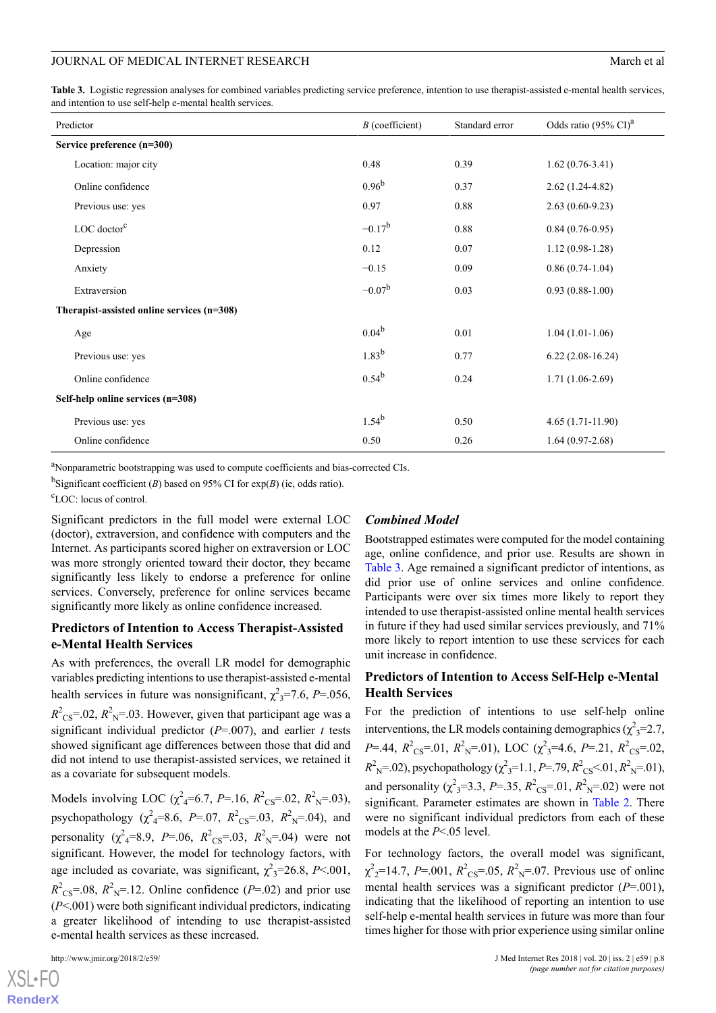<span id="page-7-0"></span>**Table 3.** Logistic regression analyses for combined variables predicting service preference, intention to use therapist-assisted e-mental health services, and intention to use self-help e-mental health services.

| Predictor                                    | $B$ (coefficient) | Standard error | Odds ratio (95% CI) <sup>a</sup> |  |
|----------------------------------------------|-------------------|----------------|----------------------------------|--|
| Service preference (n=300)                   |                   |                |                                  |  |
| Location: major city                         | 0.48              | 0.39           | $1.62(0.76-3.41)$                |  |
| Online confidence                            | $0.96^{b}$        | 0.37           | $2.62(1.24-4.82)$                |  |
| Previous use: yes                            | 0.97              | 0.88           | $2.63(0.60-9.23)$                |  |
| $LOC$ doctor $c$                             | $-0.17^{\rm b}$   | 0.88           | $0.84(0.76-0.95)$                |  |
| Depression                                   | 0.12              | 0.07           | $1.12(0.98-1.28)$                |  |
| Anxiety                                      | $-0.15$           | 0.09           | $0.86(0.74-1.04)$                |  |
| Extraversion                                 | $-0.07^{\rm b}$   | 0.03           | $0.93(0.88-1.00)$                |  |
| Therapist-assisted online services $(n=308)$ |                   |                |                                  |  |
| Age                                          | $0.04^{b}$        | 0.01           | $1.04(1.01-1.06)$                |  |
| Previous use: yes                            | $1.83^{b}$        | 0.77           | $6.22(2.08-16.24)$               |  |
| Online confidence                            | $0.54^{b}$        | 0.24           | $1.71(1.06-2.69)$                |  |
| Self-help online services (n=308)            |                   |                |                                  |  |
| Previous use: yes                            | $1.54^{b}$        | 0.50           | $4.65(1.71-11.90)$               |  |
| Online confidence                            | 0.50              | 0.26           | $1.64(0.97-2.68)$                |  |

<sup>a</sup>Nonparametric bootstrapping was used to compute coefficients and bias-corrected CIs.

<sup>b</sup>Significant coefficient (*B*) based on 95% CI for  $exp(B)$  (ie, odds ratio).

<sup>c</sup>LOC: locus of control.

Significant predictors in the full model were external LOC (doctor), extraversion, and confidence with computers and the Internet. As participants scored higher on extraversion or LOC was more strongly oriented toward their doctor, they became significantly less likely to endorse a preference for online services. Conversely, preference for online services became significantly more likely as online confidence increased.

#### **Predictors of Intention to Access Therapist-Assisted e-Mental Health Services**

As with preferences, the overall LR model for demographic variables predicting intentions to use therapist-assisted e-mental health services in future was nonsignificant,  $\chi^2$ <sub>3</sub>=7.6, *P*=.056,  $R^2$ <sub>CS</sub>=.02,  $R^2$ <sub>N</sub>=.03. However, given that participant age was a significant individual predictor  $(P=0.007)$ , and earlier *t* tests showed significant age differences between those that did and did not intend to use therapist-assisted services, we retained it as a covariate for subsequent models.

Models involving LOC ( $\chi^2$ <sub>4</sub>=6.7, *P*=.16,  $R^2$ <sub>CS</sub>=.02,  $R^2$ <sub>N</sub>=.03), psychopathology ( $\chi^2$ <sub>4</sub>=8.6, *P*=.07,  $R^2$ <sub>CS</sub>=.03,  $R^2$ <sub>N</sub>=.04), and personality ( $\chi^2$ <sub>4</sub>=8.9, *P*=.06,  $R^2$ <sub>CS</sub>=.03,  $R^2$ <sub>N</sub>=.04) were not significant. However, the model for technology factors, with age included as covariate, was significant,  $\chi^2$ <sub>3</sub>=26.8, *P*<.001,  $R^2$ <sub>CS</sub>=.08,  $R^2$ <sub>N</sub>=.12. Online confidence (*P*=.02) and prior use (*P*<.001) were both significant individual predictors, indicating a greater likelihood of intending to use therapist-assisted e-mental health services as these increased.

#### *Combined Model*

Bootstrapped estimates were computed for the model containing age, online confidence, and prior use. Results are shown in [Table 3](#page-7-0). Age remained a significant predictor of intentions, as did prior use of online services and online confidence. Participants were over six times more likely to report they intended to use therapist-assisted online mental health services in future if they had used similar services previously, and 71% more likely to report intention to use these services for each unit increase in confidence.

#### **Predictors of Intention to Access Self-Help e-Mental Health Services**

For the prediction of intentions to use self-help online interventions, the LR models containing demographics ( $\chi^2$ <sub>3</sub>=2.7, *P*=.44,  $R^2$ <sub>CS</sub>=.01,  $R^2$ <sub>N</sub>=.01), LOC ( $\chi^2$ <sub>3</sub>=4.6, *P*=.21,  $R^2$ <sub>CS</sub>=.02,  $R<sup>2</sup><sub>N</sub>=.02$ ), psychopathology ( $\chi<sup>2</sup><sub>3</sub>=1.1, P=.79, R<sup>2</sup><sub>CS</sub><.01, R<sup>2</sup><sub>N</sub>=.01$ ), and personality ( $\chi^2$ <sub>3</sub>=3.3, *P*=.35,  $R^2$ <sub>CS</sub>=.01,  $R^2$ <sub>N</sub>=.02) were not significant. Parameter estimates are shown in [Table 2.](#page-6-0) There were no significant individual predictors from each of these models at the *P*<.05 level.

For technology factors, the overall model was significant,  $\chi^2$ <sub>2</sub>=14.7, *P*=.001,  $R^2$ <sub>CS</sub>=.05,  $R^2$ <sub>N</sub>=.07. Previous use of online mental health services was a significant predictor (*P*=.001), indicating that the likelihood of reporting an intention to use self-help e-mental health services in future was more than four times higher for those with prior experience using similar online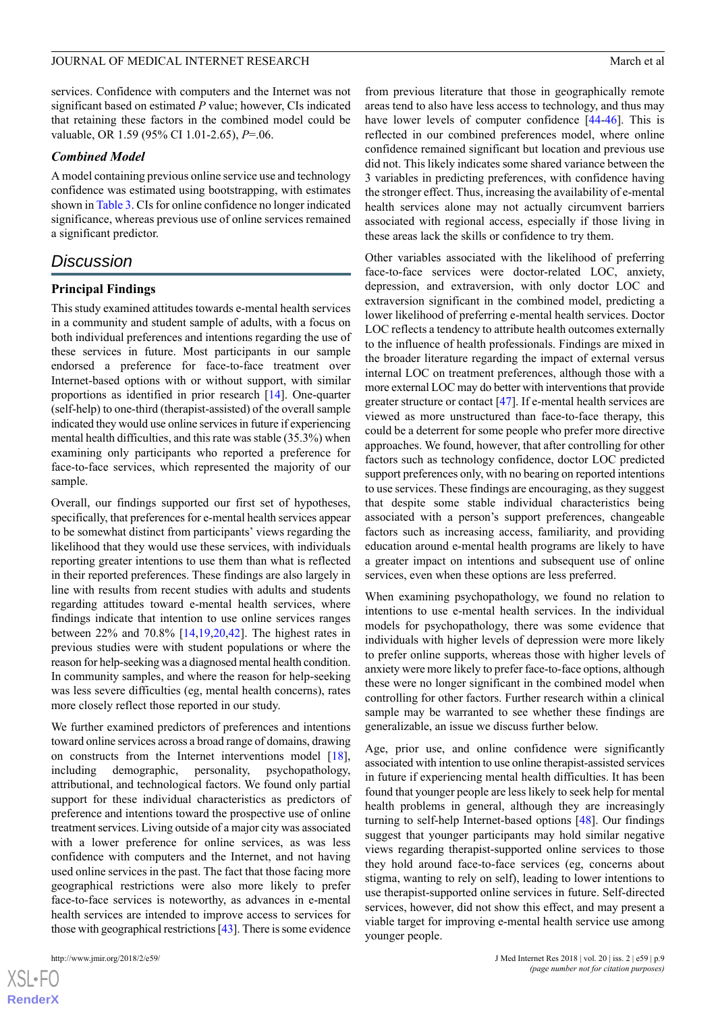services. Confidence with computers and the Internet was not significant based on estimated *P* value; however, CIs indicated that retaining these factors in the combined model could be valuable, OR 1.59 (95% CI 1.01-2.65), *P*=.06.

#### *Combined Model*

A model containing previous online service use and technology confidence was estimated using bootstrapping, with estimates shown in [Table 3](#page-7-0). CIs for online confidence no longer indicated significance, whereas previous use of online services remained a significant predictor.

# *Discussion*

#### **Principal Findings**

This study examined attitudes towards e-mental health services in a community and student sample of adults, with a focus on both individual preferences and intentions regarding the use of these services in future. Most participants in our sample endorsed a preference for face-to-face treatment over Internet-based options with or without support, with similar proportions as identified in prior research [[14\]](#page-10-12). One-quarter (self-help) to one-third (therapist-assisted) of the overall sample indicated they would use online services in future if experiencing mental health difficulties, and this rate was stable (35.3%) when examining only participants who reported a preference for face-to-face services, which represented the majority of our sample.

Overall, our findings supported our first set of hypotheses, specifically, that preferences for e-mental health services appear to be somewhat distinct from participants' views regarding the likelihood that they would use these services, with individuals reporting greater intentions to use them than what is reflected in their reported preferences. These findings are also largely in line with results from recent studies with adults and students regarding attitudes toward e-mental health services, where findings indicate that intention to use online services ranges between 22% and 70.8% [\[14](#page-10-12)[,19](#page-11-0),[20,](#page-11-1)[42](#page-11-21)]. The highest rates in previous studies were with student populations or where the reason for help-seeking was a diagnosed mental health condition. In community samples, and where the reason for help-seeking was less severe difficulties (eg, mental health concerns), rates more closely reflect those reported in our study.

We further examined predictors of preferences and intentions toward online services across a broad range of domains, drawing on constructs from the Internet interventions model [[18\]](#page-10-16), including demographic, personality, psychopathology, attributional, and technological factors. We found only partial support for these individual characteristics as predictors of preference and intentions toward the prospective use of online treatment services. Living outside of a major city was associated with a lower preference for online services, as was less confidence with computers and the Internet, and not having used online services in the past. The fact that those facing more geographical restrictions were also more likely to prefer face-to-face services is noteworthy, as advances in e-mental health services are intended to improve access to services for those with geographical restrictions [\[43](#page-11-22)]. There is some evidence

from previous literature that those in geographically remote areas tend to also have less access to technology, and thus may have lower levels of computer confidence [[44-](#page-12-0)[46](#page-12-1)]. This is reflected in our combined preferences model, where online confidence remained significant but location and previous use did not. This likely indicates some shared variance between the 3 variables in predicting preferences, with confidence having the stronger effect. Thus, increasing the availability of e-mental health services alone may not actually circumvent barriers associated with regional access, especially if those living in these areas lack the skills or confidence to try them.

Other variables associated with the likelihood of preferring face-to-face services were doctor-related LOC, anxiety, depression, and extraversion, with only doctor LOC and extraversion significant in the combined model, predicting a lower likelihood of preferring e-mental health services. Doctor LOC reflects a tendency to attribute health outcomes externally to the influence of health professionals. Findings are mixed in the broader literature regarding the impact of external versus internal LOC on treatment preferences, although those with a more external LOC may do better with interventions that provide greater structure or contact [[47\]](#page-12-2). If e-mental health services are viewed as more unstructured than face-to-face therapy, this could be a deterrent for some people who prefer more directive approaches. We found, however, that after controlling for other factors such as technology confidence, doctor LOC predicted support preferences only, with no bearing on reported intentions to use services. These findings are encouraging, as they suggest that despite some stable individual characteristics being associated with a person's support preferences, changeable factors such as increasing access, familiarity, and providing education around e-mental health programs are likely to have a greater impact on intentions and subsequent use of online services, even when these options are less preferred.

When examining psychopathology, we found no relation to intentions to use e-mental health services. In the individual models for psychopathology, there was some evidence that individuals with higher levels of depression were more likely to prefer online supports, whereas those with higher levels of anxiety were more likely to prefer face-to-face options, although these were no longer significant in the combined model when controlling for other factors. Further research within a clinical sample may be warranted to see whether these findings are generalizable, an issue we discuss further below.

Age, prior use, and online confidence were significantly associated with intention to use online therapist-assisted services in future if experiencing mental health difficulties. It has been found that younger people are less likely to seek help for mental health problems in general, although they are increasingly turning to self-help Internet-based options [[48\]](#page-12-3). Our findings suggest that younger participants may hold similar negative views regarding therapist-supported online services to those they hold around face-to-face services (eg, concerns about stigma, wanting to rely on self), leading to lower intentions to use therapist-supported online services in future. Self-directed services, however, did not show this effect, and may present a viable target for improving e-mental health service use among younger people.

 $XS$ -FO **[RenderX](http://www.renderx.com/)**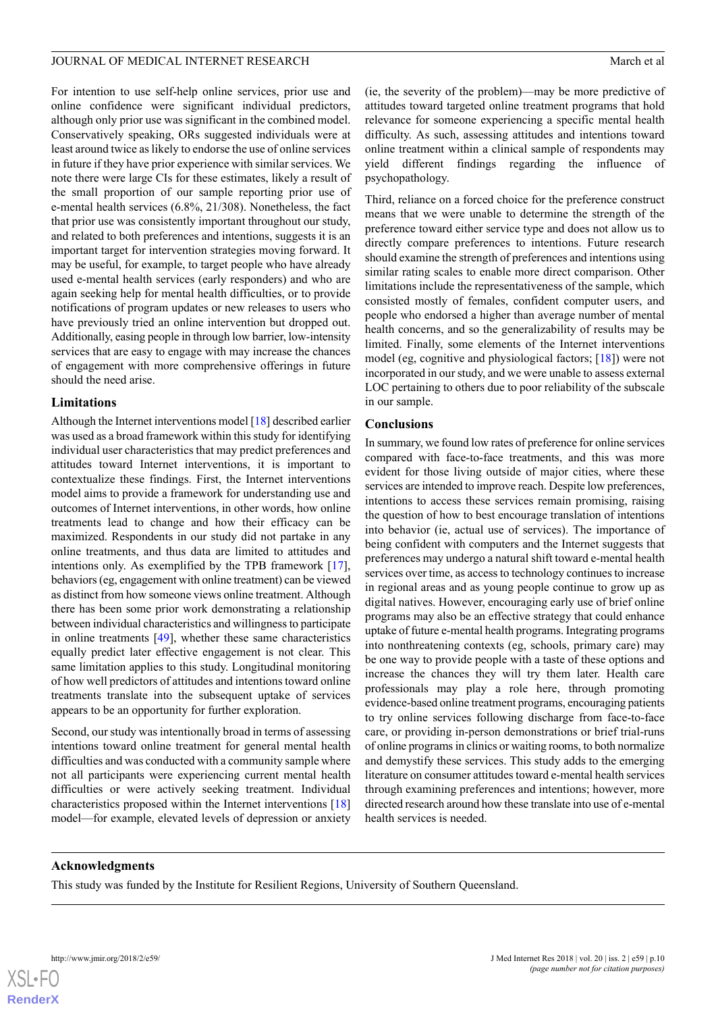For intention to use self-help online services, prior use and online confidence were significant individual predictors, although only prior use was significant in the combined model. Conservatively speaking, ORs suggested individuals were at least around twice as likely to endorse the use of online services in future if they have prior experience with similar services. We note there were large CIs for these estimates, likely a result of the small proportion of our sample reporting prior use of e-mental health services (6.8%, 21/308). Nonetheless, the fact that prior use was consistently important throughout our study, and related to both preferences and intentions, suggests it is an important target for intervention strategies moving forward. It may be useful, for example, to target people who have already used e-mental health services (early responders) and who are again seeking help for mental health difficulties, or to provide notifications of program updates or new releases to users who have previously tried an online intervention but dropped out. Additionally, easing people in through low barrier, low-intensity services that are easy to engage with may increase the chances of engagement with more comprehensive offerings in future should the need arise.

#### **Limitations**

Although the Internet interventions model [[18\]](#page-10-16) described earlier was used as a broad framework within this study for identifying individual user characteristics that may predict preferences and attitudes toward Internet interventions, it is important to contextualize these findings. First, the Internet interventions model aims to provide a framework for understanding use and outcomes of Internet interventions, in other words, how online treatments lead to change and how their efficacy can be maximized. Respondents in our study did not partake in any online treatments, and thus data are limited to attitudes and intentions only. As exemplified by the TPB framework [[17\]](#page-10-15), behaviors (eg, engagement with online treatment) can be viewed as distinct from how someone views online treatment. Although there has been some prior work demonstrating a relationship between individual characteristics and willingness to participate in online treatments  $[49]$  $[49]$ , whether these same characteristics equally predict later effective engagement is not clear. This same limitation applies to this study. Longitudinal monitoring of how well predictors of attitudes and intentions toward online treatments translate into the subsequent uptake of services appears to be an opportunity for further exploration.

Second, our study was intentionally broad in terms of assessing intentions toward online treatment for general mental health difficulties and was conducted with a community sample where not all participants were experiencing current mental health difficulties or were actively seeking treatment. Individual characteristics proposed within the Internet interventions [\[18](#page-10-16)] model—for example, elevated levels of depression or anxiety

(ie, the severity of the problem)—may be more predictive of attitudes toward targeted online treatment programs that hold relevance for someone experiencing a specific mental health difficulty. As such, assessing attitudes and intentions toward online treatment within a clinical sample of respondents may yield different findings regarding the influence of psychopathology.

Third, reliance on a forced choice for the preference construct means that we were unable to determine the strength of the preference toward either service type and does not allow us to directly compare preferences to intentions. Future research should examine the strength of preferences and intentions using similar rating scales to enable more direct comparison. Other limitations include the representativeness of the sample, which consisted mostly of females, confident computer users, and people who endorsed a higher than average number of mental health concerns, and so the generalizability of results may be limited. Finally, some elements of the Internet interventions model (eg, cognitive and physiological factors; [[18\]](#page-10-16)) were not incorporated in our study, and we were unable to assess external LOC pertaining to others due to poor reliability of the subscale in our sample.

### **Conclusions**

In summary, we found low rates of preference for online services compared with face-to-face treatments, and this was more evident for those living outside of major cities, where these services are intended to improve reach. Despite low preferences, intentions to access these services remain promising, raising the question of how to best encourage translation of intentions into behavior (ie, actual use of services). The importance of being confident with computers and the Internet suggests that preferences may undergo a natural shift toward e-mental health services over time, as access to technology continues to increase in regional areas and as young people continue to grow up as digital natives. However, encouraging early use of brief online programs may also be an effective strategy that could enhance uptake of future e-mental health programs. Integrating programs into nonthreatening contexts (eg, schools, primary care) may be one way to provide people with a taste of these options and increase the chances they will try them later. Health care professionals may play a role here, through promoting evidence-based online treatment programs, encouraging patients to try online services following discharge from face-to-face care, or providing in-person demonstrations or brief trial-runs of online programs in clinics or waiting rooms, to both normalize and demystify these services. This study adds to the emerging literature on consumer attitudes toward e-mental health services through examining preferences and intentions; however, more directed research around how these translate into use of e-mental health services is needed.

## **Acknowledgments**

This study was funded by the Institute for Resilient Regions, University of Southern Queensland.

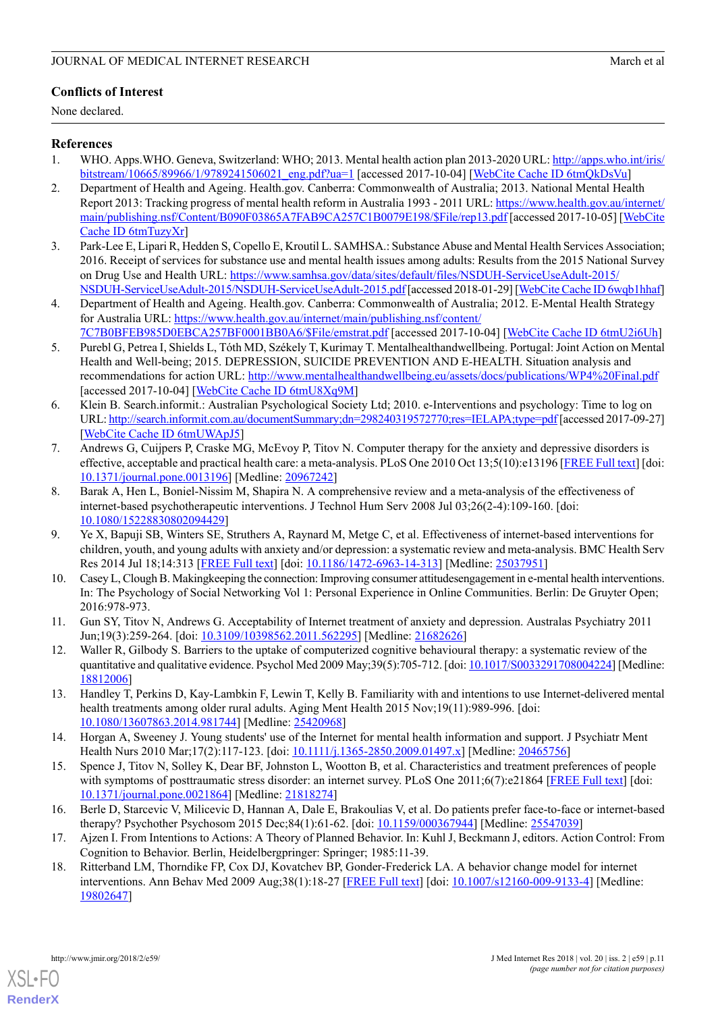# **Conflicts of Interest**

None declared.

### <span id="page-10-0"></span>**References**

- <span id="page-10-1"></span>1. WHO. Apps.WHO. Geneva, Switzerland: WHO; 2013. Mental health action plan 2013-2020 URL: [http://apps.who.int/iris/](http://apps.who.int/iris/bitstream/10665/89966/1/9789241506021_eng.pdf?ua=1) [bitstream/10665/89966/1/9789241506021\\_eng.pdf?ua=1](http://apps.who.int/iris/bitstream/10665/89966/1/9789241506021_eng.pdf?ua=1) [accessed 2017-10-04] [[WebCite Cache ID 6tmQkDsVu\]](http://www.webcitation.org/6tmQkDsVu)
- 2. Department of Health and Ageing. Health.gov. Canberra: Commonwealth of Australia; 2013. National Mental Health Report 2013: Tracking progress of mental health reform in Australia 1993 - 2011 URL: [https://www.health.gov.au/internet/](https://www.health.gov.au/internet/main/publishing.nsf/Content/B090F03865A7FAB9CA257C1B0079E198/$File/rep13.pdf) [main/publishing.nsf/Content/B090F03865A7FAB9CA257C1B0079E198/\\$File/rep13.pdf](https://www.health.gov.au/internet/main/publishing.nsf/Content/B090F03865A7FAB9CA257C1B0079E198/$File/rep13.pdf) [accessed 2017-10-05] [\[WebCite](http://www.webcitation.org/6tmTuzyXr) [Cache ID 6tmTuzyXr](http://www.webcitation.org/6tmTuzyXr)]
- <span id="page-10-2"></span>3. Park-Lee E, Lipari R, Hedden S, Copello E, Kroutil L. SAMHSA.: Substance Abuse and Mental Health Services Association; 2016. Receipt of services for substance use and mental health issues among adults: Results from the 2015 National Survey on Drug Use and Health URL: [https://www.samhsa.gov/data/sites/default/files/NSDUH-ServiceUseAdult-2015/](https://www.samhsa.gov/data/sites/default/files/NSDUH-ServiceUseAdult-2015/NSDUH-ServiceUseAdult-2015/NSDUH-ServiceUseAdult-2015.pdf) [NSDUH-ServiceUseAdult-2015/NSDUH-ServiceUseAdult-2015.pdf](https://www.samhsa.gov/data/sites/default/files/NSDUH-ServiceUseAdult-2015/NSDUH-ServiceUseAdult-2015/NSDUH-ServiceUseAdult-2015.pdf) [accessed 2018-01-29] [[WebCite Cache ID 6wqb1hhaf](http://www.webcitation.org/6wqb1hhaf)]
- <span id="page-10-4"></span><span id="page-10-3"></span>4. Department of Health and Ageing. Health.gov. Canberra: Commonwealth of Australia; 2012. E-Mental Health Strategy for Australia URL: [https://www.health.gov.au/internet/main/publishing.nsf/content/](https://www.health.gov.au/internet/main/publishing.nsf/content/7C7B0BFEB985D0EBCA257BF0001BB0A6/$File/emstrat.pdf) [7C7B0BFEB985D0EBCA257BF0001BB0A6/\\$File/emstrat.pdf](https://www.health.gov.au/internet/main/publishing.nsf/content/7C7B0BFEB985D0EBCA257BF0001BB0A6/$File/emstrat.pdf) [accessed 2017-10-04] [[WebCite Cache ID 6tmU2i6Uh](http://www.webcitation.org/6tmU2i6Uh)]
- <span id="page-10-5"></span>5. Purebl G, Petrea I, Shields L, Tóth MD, Székely T, Kurimay T. Mentalhealthandwellbeing. Portugal: Joint Action on Mental Health and Well-being; 2015. DEPRESSION, SUICIDE PREVENTION AND E-HEALTH. Situation analysis and recommendations for action URL:<http://www.mentalhealthandwellbeing.eu/assets/docs/publications/WP4%20Final.pdf> [accessed 2017-10-04] [\[WebCite Cache ID 6tmU8Xq9M\]](http://www.webcitation.org/6tmU8Xq9M)
- <span id="page-10-6"></span>6. Klein B. Search.informit.: Australian Psychological Society Ltd; 2010. e-Interventions and psychology: Time to log on URL:<http://search.informit.com.au/documentSummary;dn=298240319572770;res=IELAPA;type=pdf> [accessed 2017-09-27] [[WebCite Cache ID 6tmUWApJ5\]](http://www.webcitation.org/6tmUWApJ5)
- 7. Andrews G, Cuijpers P, Craske MG, McEvoy P, Titov N. Computer therapy for the anxiety and depressive disorders is effective, acceptable and practical health care: a meta-analysis. PLoS One 2010 Oct 13;5(10):e13196 [\[FREE Full text\]](http://dx.plos.org/10.1371/journal.pone.0013196) [doi: [10.1371/journal.pone.0013196\]](http://dx.doi.org/10.1371/journal.pone.0013196) [Medline: [20967242](http://www.ncbi.nlm.nih.gov/entrez/query.fcgi?cmd=Retrieve&db=PubMed&list_uids=20967242&dopt=Abstract)]
- <span id="page-10-7"></span>8. Barak A, Hen L, Boniel-Nissim M, Shapira N. A comprehensive review and a meta-analysis of the effectiveness of internet-based psychotherapeutic interventions. J Technol Hum Serv 2008 Jul 03;26(2-4):109-160. [doi: [10.1080/15228830802094429\]](http://dx.doi.org/10.1080/15228830802094429)
- <span id="page-10-8"></span>9. Ye X, Bapuji SB, Winters SE, Struthers A, Raynard M, Metge C, et al. Effectiveness of internet-based interventions for children, youth, and young adults with anxiety and/or depression: a systematic review and meta-analysis. BMC Health Serv Res 2014 Jul 18;14:313 [\[FREE Full text\]](https://bmchealthservres.biomedcentral.com/articles/10.1186/1472-6963-14-313) [doi: [10.1186/1472-6963-14-313\]](http://dx.doi.org/10.1186/1472-6963-14-313) [Medline: [25037951](http://www.ncbi.nlm.nih.gov/entrez/query.fcgi?cmd=Retrieve&db=PubMed&list_uids=25037951&dopt=Abstract)]
- <span id="page-10-10"></span><span id="page-10-9"></span>10. Casey L, Clough B. Makingkeeping the connection: Improving consumer attitudesengagement in e-mental health interventions. In: The Psychology of Social Networking Vol 1: Personal Experience in Online Communities. Berlin: De Gruyter Open; 2016:978-973.
- <span id="page-10-11"></span>11. Gun SY, Titov N, Andrews G. Acceptability of Internet treatment of anxiety and depression. Australas Psychiatry 2011 Jun;19(3):259-264. [doi: [10.3109/10398562.2011.562295](http://dx.doi.org/10.3109/10398562.2011.562295)] [Medline: [21682626\]](http://www.ncbi.nlm.nih.gov/entrez/query.fcgi?cmd=Retrieve&db=PubMed&list_uids=21682626&dopt=Abstract)
- <span id="page-10-12"></span>12. Waller R, Gilbody S. Barriers to the uptake of computerized cognitive behavioural therapy: a systematic review of the quantitative and qualitative evidence. Psychol Med 2009 May;39(5):705-712. [doi: [10.1017/S0033291708004224\]](http://dx.doi.org/10.1017/S0033291708004224) [Medline: [18812006](http://www.ncbi.nlm.nih.gov/entrez/query.fcgi?cmd=Retrieve&db=PubMed&list_uids=18812006&dopt=Abstract)]
- <span id="page-10-13"></span>13. Handley T, Perkins D, Kay-Lambkin F, Lewin T, Kelly B. Familiarity with and intentions to use Internet-delivered mental health treatments among older rural adults. Aging Ment Health 2015 Nov;19(11):989-996. [doi: [10.1080/13607863.2014.981744\]](http://dx.doi.org/10.1080/13607863.2014.981744) [Medline: [25420968](http://www.ncbi.nlm.nih.gov/entrez/query.fcgi?cmd=Retrieve&db=PubMed&list_uids=25420968&dopt=Abstract)]
- <span id="page-10-14"></span>14. Horgan A, Sweeney J. Young students' use of the Internet for mental health information and support. J Psychiatr Ment Health Nurs 2010 Mar;17(2):117-123. [doi: [10.1111/j.1365-2850.2009.01497.x\]](http://dx.doi.org/10.1111/j.1365-2850.2009.01497.x) [Medline: [20465756](http://www.ncbi.nlm.nih.gov/entrez/query.fcgi?cmd=Retrieve&db=PubMed&list_uids=20465756&dopt=Abstract)]
- <span id="page-10-16"></span><span id="page-10-15"></span>15. Spence J, Titov N, Solley K, Dear BF, Johnston L, Wootton B, et al. Characteristics and treatment preferences of people with symptoms of posttraumatic stress disorder: an internet survey. PLoS One 2011;6(7):e21864 [[FREE Full text](http://dx.plos.org/10.1371/journal.pone.0021864)] [doi: [10.1371/journal.pone.0021864\]](http://dx.doi.org/10.1371/journal.pone.0021864) [Medline: [21818274](http://www.ncbi.nlm.nih.gov/entrez/query.fcgi?cmd=Retrieve&db=PubMed&list_uids=21818274&dopt=Abstract)]
- 16. Berle D, Starcevic V, Milicevic D, Hannan A, Dale E, Brakoulias V, et al. Do patients prefer face-to-face or internet-based therapy? Psychother Psychosom 2015 Dec;84(1):61-62. [doi: [10.1159/000367944\]](http://dx.doi.org/10.1159/000367944) [Medline: [25547039\]](http://www.ncbi.nlm.nih.gov/entrez/query.fcgi?cmd=Retrieve&db=PubMed&list_uids=25547039&dopt=Abstract)
- 17. Ajzen I. From Intentions to Actions: A Theory of Planned Behavior. In: Kuhl J, Beckmann J, editors. Action Control: From Cognition to Behavior. Berlin, Heidelbergpringer: Springer; 1985:11-39.
- 18. Ritterband LM, Thorndike FP, Cox DJ, Kovatchev BP, Gonder-Frederick LA. A behavior change model for internet interventions. Ann Behav Med 2009 Aug;38(1):18-27 [\[FREE Full text\]](http://europepmc.org/abstract/MED/19802647) [doi: [10.1007/s12160-009-9133-4](http://dx.doi.org/10.1007/s12160-009-9133-4)] [Medline: [19802647](http://www.ncbi.nlm.nih.gov/entrez/query.fcgi?cmd=Retrieve&db=PubMed&list_uids=19802647&dopt=Abstract)]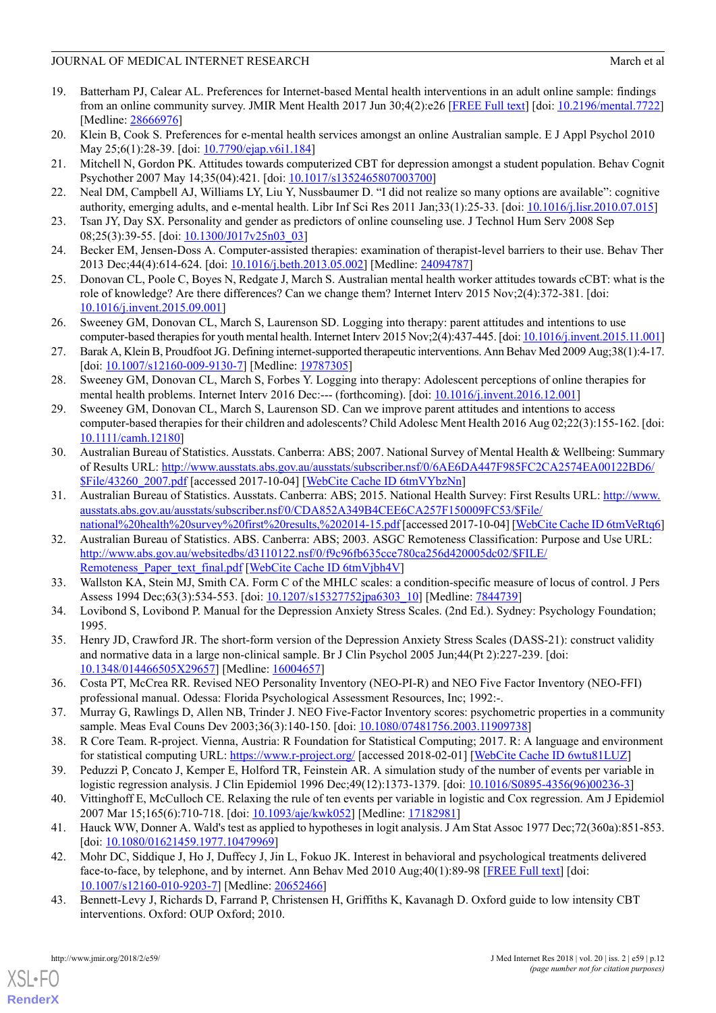- <span id="page-11-0"></span>19. Batterham PJ, Calear AL. Preferences for Internet-based Mental health interventions in an adult online sample: findings from an online community survey. JMIR Ment Health 2017 Jun 30;4(2):e26 [\[FREE Full text\]](http://mental.jmir.org/2017/2/e26/) [doi: [10.2196/mental.7722\]](http://dx.doi.org/10.2196/mental.7722) [Medline: [28666976](http://www.ncbi.nlm.nih.gov/entrez/query.fcgi?cmd=Retrieve&db=PubMed&list_uids=28666976&dopt=Abstract)]
- <span id="page-11-1"></span>20. Klein B, Cook S. Preferences for e-mental health services amongst an online Australian sample. E J Appl Psychol 2010 May 25;6(1):28-39. [doi: [10.7790/ejap.v6i1.184\]](http://dx.doi.org/10.7790/ejap.v6i1.184)
- 21. Mitchell N, Gordon PK. Attitudes towards computerized CBT for depression amongst a student population. Behav Cognit Psychother 2007 May 14;35(04):421. [doi: [10.1017/s1352465807003700\]](http://dx.doi.org/10.1017/s1352465807003700)
- <span id="page-11-2"></span>22. Neal DM, Campbell AJ, Williams LY, Liu Y, Nussbaumer D. "I did not realize so many options are available": cognitive authority, emerging adults, and e-mental health. Libr Inf Sci Res 2011 Jan;33(1):25-33. [doi: [10.1016/j.lisr.2010.07.015\]](http://dx.doi.org/10.1016/j.lisr.2010.07.015)
- <span id="page-11-3"></span>23. Tsan JY, Day SX. Personality and gender as predictors of online counseling use. J Technol Hum Serv 2008 Sep 08;25(3):39-55. [doi: [10.1300/J017v25n03\\_03\]](http://dx.doi.org/10.1300/J017v25n03_03)
- <span id="page-11-6"></span>24. Becker EM, Jensen-Doss A. Computer-assisted therapies: examination of therapist-level barriers to their use. Behav Ther 2013 Dec;44(4):614-624. [doi: [10.1016/j.beth.2013.05.002](http://dx.doi.org/10.1016/j.beth.2013.05.002)] [Medline: [24094787\]](http://www.ncbi.nlm.nih.gov/entrez/query.fcgi?cmd=Retrieve&db=PubMed&list_uids=24094787&dopt=Abstract)
- <span id="page-11-4"></span>25. Donovan CL, Poole C, Boyes N, Redgate J, March S. Australian mental health worker attitudes towards cCBT: what is the role of knowledge? Are there differences? Can we change them? Internet Interv 2015 Nov;2(4):372-381. [doi: [10.1016/j.invent.2015.09.001](http://dx.doi.org/10.1016/j.invent.2015.09.001)]
- <span id="page-11-5"></span>26. Sweeney GM, Donovan CL, March S, Laurenson SD. Logging into therapy: parent attitudes and intentions to use computer-based therapies for youth mental health. Internet Interv 2015 Nov;2(4):437-445. [doi: [10.1016/j.invent.2015.11.001\]](http://dx.doi.org/10.1016/j.invent.2015.11.001)
- <span id="page-11-7"></span>27. Barak A, Klein B, Proudfoot JG. Defining internet-supported therapeutic interventions. Ann Behav Med 2009 Aug;38(1):4-17. [doi: [10.1007/s12160-009-9130-7](http://dx.doi.org/10.1007/s12160-009-9130-7)] [Medline: [19787305\]](http://www.ncbi.nlm.nih.gov/entrez/query.fcgi?cmd=Retrieve&db=PubMed&list_uids=19787305&dopt=Abstract)
- <span id="page-11-8"></span>28. Sweeney GM, Donovan CL, March S, Forbes Y. Logging into therapy: Adolescent perceptions of online therapies for mental health problems. Internet Interv 2016 Dec:--- (forthcoming). [doi: [10.1016/j.invent.2016.12.001\]](http://dx.doi.org/10.1016/j.invent.2016.12.001)
- <span id="page-11-9"></span>29. Sweeney GM, Donovan CL, March S, Laurenson SD. Can we improve parent attitudes and intentions to access computer-based therapies for their children and adolescents? Child Adolesc Ment Health 2016 Aug 02;22(3):155-162. [doi: [10.1111/camh.12180\]](http://dx.doi.org/10.1111/camh.12180)
- <span id="page-11-10"></span>30. Australian Bureau of Statistics. Ausstats. Canberra: ABS; 2007. National Survey of Mental Health & Wellbeing: Summary of Results URL: [http://www.ausstats.abs.gov.au/ausstats/subscriber.nsf/0/6AE6DA447F985FC2CA2574EA00122BD6/](http://www.ausstats.abs.gov.au/ausstats/subscriber.nsf/0/6AE6DA447F985FC2CA2574EA00122BD6/$File/43260_2007.pdf) [\\$File/43260\\_2007.pdf](http://www.ausstats.abs.gov.au/ausstats/subscriber.nsf/0/6AE6DA447F985FC2CA2574EA00122BD6/$File/43260_2007.pdf) [accessed 2017-10-04] [[WebCite Cache ID 6tmVYbzNn](http://www.webcitation.org/6tmVYbzNn)]
- <span id="page-11-11"></span>31. Australian Bureau of Statistics. Ausstats. Canberra: ABS; 2015. National Health Survey: First Results URL: [http://www.](http://www.ausstats.abs.gov.au/ausstats/subscriber.nsf/0/CDA852A349B4CEE6CA257F150009FC53/$File/national%20health%20survey%20first%20results,%202014-15.pdf) [ausstats.abs.gov.au/ausstats/subscriber.nsf/0/CDA852A349B4CEE6CA257F150009FC53/\\$File/](http://www.ausstats.abs.gov.au/ausstats/subscriber.nsf/0/CDA852A349B4CEE6CA257F150009FC53/$File/national%20health%20survey%20first%20results,%202014-15.pdf)
- <span id="page-11-13"></span><span id="page-11-12"></span>[national%20health%20survey%20first%20results,%202014-15.pdf](http://www.ausstats.abs.gov.au/ausstats/subscriber.nsf/0/CDA852A349B4CEE6CA257F150009FC53/$File/national%20health%20survey%20first%20results,%202014-15.pdf) [accessed 2017-10-04] [\[WebCite Cache ID 6tmVeRtq6\]](http://www.webcitation.org/6tmVeRtq6) 32. Australian Bureau of Statistics. ABS. Canberra: ABS; 2003. ASGC Remoteness Classification: Purpose and Use URL: [http://www.abs.gov.au/websitedbs/d3110122.nsf/0/f9c96fb635cce780ca256d420005dc02/\\$FILE/](http://www.abs.gov.au/websitedbs/d3110122.nsf/0/f9c96fb635cce780ca256d420005dc02/$FILE/Remoteness_Paper_text_final.pdf) [Remoteness\\_Paper\\_text\\_final.pdf](http://www.abs.gov.au/websitedbs/d3110122.nsf/0/f9c96fb635cce780ca256d420005dc02/$FILE/Remoteness_Paper_text_final.pdf) [[WebCite Cache ID 6tmVjbh4V\]](http://www.webcitation.org/6tmVjbh4V)
- <span id="page-11-14"></span>33. Wallston KA, Stein MJ, Smith CA. Form C of the MHLC scales: a condition-specific measure of locus of control. J Pers Assess 1994 Dec;63(3):534-553. [doi: [10.1207/s15327752jpa6303\\_10](http://dx.doi.org/10.1207/s15327752jpa6303_10)] [Medline: [7844739\]](http://www.ncbi.nlm.nih.gov/entrez/query.fcgi?cmd=Retrieve&db=PubMed&list_uids=7844739&dopt=Abstract)
- <span id="page-11-15"></span>34. Lovibond S, Lovibond P. Manual for the Depression Anxiety Stress Scales. (2nd Ed.). Sydney: Psychology Foundation; 1995.
- <span id="page-11-16"></span>35. Henry JD, Crawford JR. The short-form version of the Depression Anxiety Stress Scales (DASS-21): construct validity and normative data in a large non-clinical sample. Br J Clin Psychol 2005 Jun;44(Pt 2):227-239. [doi: [10.1348/014466505X29657](http://dx.doi.org/10.1348/014466505X29657)] [Medline: [16004657\]](http://www.ncbi.nlm.nih.gov/entrez/query.fcgi?cmd=Retrieve&db=PubMed&list_uids=16004657&dopt=Abstract)
- <span id="page-11-18"></span><span id="page-11-17"></span>36. Costa PT, McCrea RR. Revised NEO Personality Inventory (NEO-PI-R) and NEO Five Factor Inventory (NEO-FFI) professional manual. Odessa: Florida Psychological Assessment Resources, Inc; 1992:-.
- <span id="page-11-19"></span>37. Murray G, Rawlings D, Allen NB, Trinder J. NEO Five-Factor Inventory scores: psychometric properties in a community sample. Meas Eval Couns Dev 2003;36(3):140-150. [doi: [10.1080/07481756.2003.11909738\]](http://dx.doi.org/10.1080/07481756.2003.11909738)
- <span id="page-11-20"></span>38. R Core Team. R-project. Vienna, Austria: R Foundation for Statistical Computing; 2017. R: A language and environment for statistical computing URL:<https://www.r-project.org/> [accessed 2018-02-01] [\[WebCite Cache ID 6wtu81LUZ\]](http://www.webcitation.org/6wtu81LUZ)
- <span id="page-11-21"></span>39. Peduzzi P, Concato J, Kemper E, Holford TR, Feinstein AR. A simulation study of the number of events per variable in logistic regression analysis. J Clin Epidemiol 1996 Dec;49(12):1373-1379. [doi: [10.1016/S0895-4356\(96\)00236-3](http://dx.doi.org/10.1016/S0895-4356(96)00236-3)]
- <span id="page-11-22"></span>40. Vittinghoff E, McCulloch CE. Relaxing the rule of ten events per variable in logistic and Cox regression. Am J Epidemiol 2007 Mar 15;165(6):710-718. [doi: [10.1093/aje/kwk052\]](http://dx.doi.org/10.1093/aje/kwk052) [Medline: [17182981\]](http://www.ncbi.nlm.nih.gov/entrez/query.fcgi?cmd=Retrieve&db=PubMed&list_uids=17182981&dopt=Abstract)
- 41. Hauck WW, Donner A. Wald's test as applied to hypotheses in logit analysis. J Am Stat Assoc 1977 Dec;72(360a):851-853. [doi: [10.1080/01621459.1977.10479969](http://dx.doi.org/10.1080/01621459.1977.10479969)]
- 42. Mohr DC, Siddique J, Ho J, Duffecy J, Jin L, Fokuo JK. Interest in behavioral and psychological treatments delivered face-to-face, by telephone, and by internet. Ann Behav Med 2010 Aug;40(1):89-98 [\[FREE Full text\]](http://europepmc.org/abstract/MED/20652466) [doi: [10.1007/s12160-010-9203-7\]](http://dx.doi.org/10.1007/s12160-010-9203-7) [Medline: [20652466](http://www.ncbi.nlm.nih.gov/entrez/query.fcgi?cmd=Retrieve&db=PubMed&list_uids=20652466&dopt=Abstract)]
- 43. Bennett-Levy J, Richards D, Farrand P, Christensen H, Griffiths K, Kavanagh D. Oxford guide to low intensity CBT interventions. Oxford: OUP Oxford; 2010.